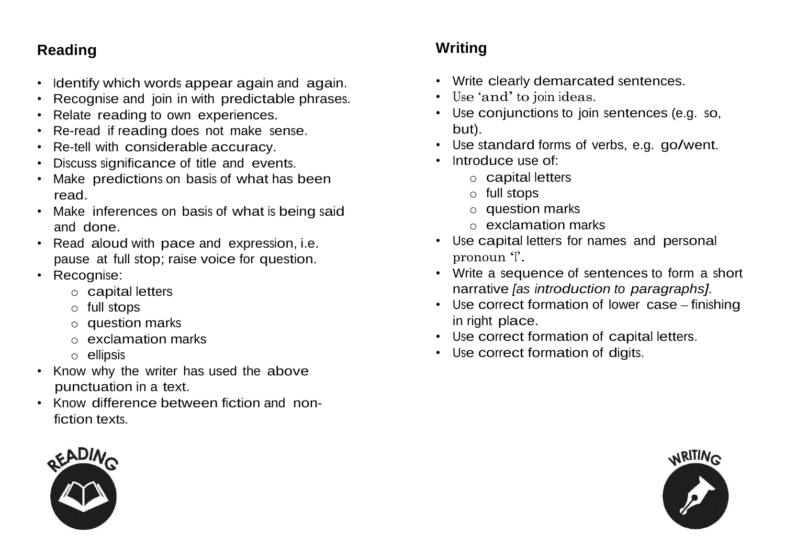### **Reading**

- Identify which words appear again and again.
- Recognise and join in with predictable phrases.
- Relate reading to own experiences.
- Re-read if reading does not make sense.
- Re-tell with considerable accuracy.
- Discuss significance of title and events.
- Make predictions on basis of what has been read.
- Make inferences on basis of what is being said and done.
- Read aloud with pace and expression, i.e. pause at full stop; raise voice for question.
- Recognise:
	- o capital letters
	- o full stops
	- o question marks
	- o exclamation marks
	- o ellipsis
- Know why the writer has used the above punctuation in a text.
- Know difference between fiction and nonfiction texts.



### **Writing**

- Write clearly demarcated sentences.
- Use 'and' to join ideas.
- Use conjunctions to join sentences (e.g. so, but).
- Use standard forms of verbs, e.g. go/went.
- Introduce use of:
	- o capital letters
	- o full stops
	- o question marks
	- o exclamation marks
- Use capital letters for names and personal pronoun 'I'.
- Write a sequence of sentences to form a short narrative *[as introduction to paragraphs].*
- Use correct formation of lower case finishing in right place.
- Use correct formation of capital letters.
- Use correct formation of digits.